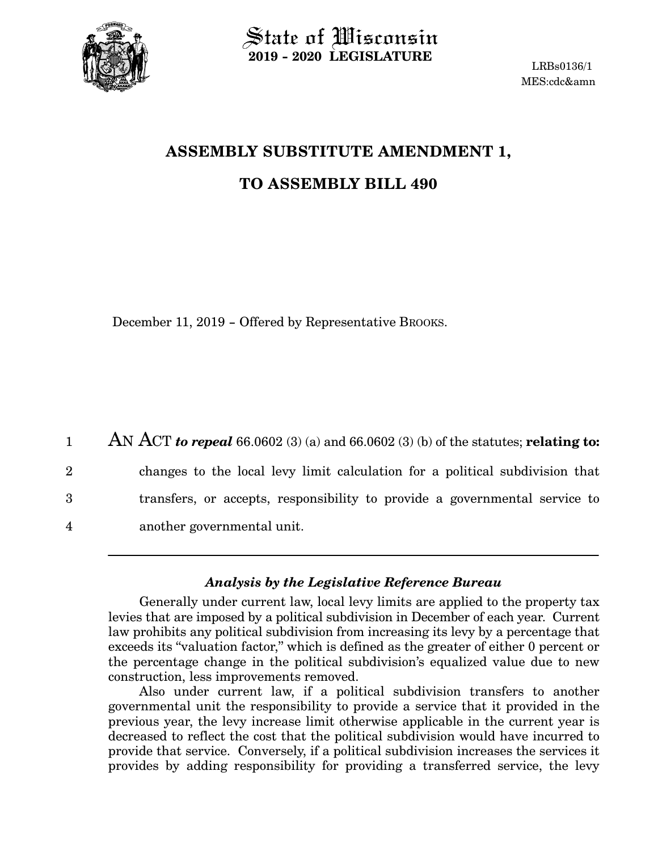

State of Wisconsin **2019 - 2020 LEGISLATURE**

LRBs0136/1 MES:cdc&amn

## **ASSEMBLY SUBSTITUTE AMENDMENT 1, TO ASSEMBLY BILL 490**

December 11, 2019 - Offered by Representative BROOKS.

AN ACT *to repeal* 66.0602 (3) (a) and 66.0602 (3) (b) of the statutes; **relating to:** changes to the local levy limit calculation for a political subdivision that transfers, or accepts, responsibility to provide a governmental service to another governmental unit. 1 2 3 4

## *Analysis by the Legislative Reference Bureau*

Generally under current law, local levy limits are applied to the property tax levies that are imposed by a political subdivision in December of each year. Current law prohibits any political subdivision from increasing its levy by a percentage that exceeds its "valuation factor," which is defined as the greater of either 0 percent or the percentage change in the political subdivision's equalized value due to new construction, less improvements removed.

Also under current law, if a political subdivision transfers to another governmental unit the responsibility to provide a service that it provided in the previous year, the levy increase limit otherwise applicable in the current year is decreased to reflect the cost that the political subdivision would have incurred to provide that service. Conversely, if a political subdivision increases the services it provides by adding responsibility for providing a transferred service, the levy